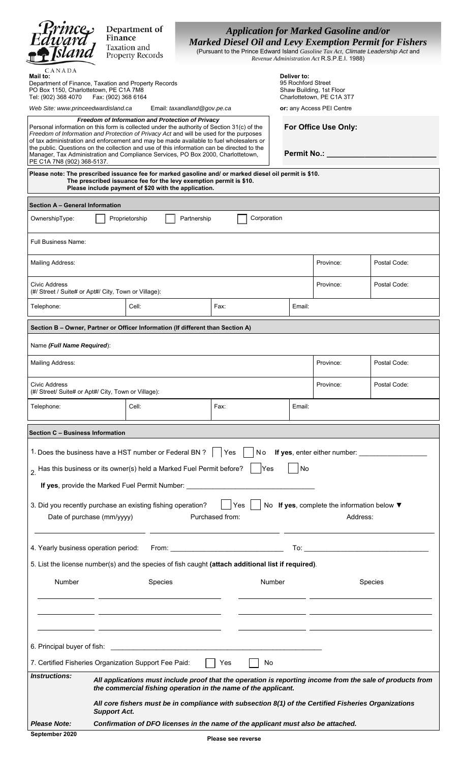|                                                                                                                                                                                                                                                                                                                                                                                                                                                                                                                                                    |                                                                                                                                                                        | Department of                                                                                                              |             |                 |             |             |                                            |                                                                                                                      |                                                                                    |  |  |
|----------------------------------------------------------------------------------------------------------------------------------------------------------------------------------------------------------------------------------------------------------------------------------------------------------------------------------------------------------------------------------------------------------------------------------------------------------------------------------------------------------------------------------------------------|------------------------------------------------------------------------------------------------------------------------------------------------------------------------|----------------------------------------------------------------------------------------------------------------------------|-------------|-----------------|-------------|-------------|--------------------------------------------|----------------------------------------------------------------------------------------------------------------------|------------------------------------------------------------------------------------|--|--|
| Prince<br>Edward<br>Fsland                                                                                                                                                                                                                                                                                                                                                                                                                                                                                                                         | <b>Application for Marked Gasoline and/or</b><br>Finance<br><b>Marked Diesel Oil and Levy Exemption Permit for Fishers</b><br>Taxation and                             |                                                                                                                            |             |                 |             |             |                                            |                                                                                                                      |                                                                                    |  |  |
|                                                                                                                                                                                                                                                                                                                                                                                                                                                                                                                                                    |                                                                                                                                                                        | <b>Property Records</b>                                                                                                    |             |                 |             |             |                                            | Revenue Administration Act R.S.P.E.I. 1988)                                                                          | (Pursuant to the Prince Edward Island Gasoline Tax Act, Climate Leadership Act and |  |  |
| CANADA<br>Mail to:                                                                                                                                                                                                                                                                                                                                                                                                                                                                                                                                 |                                                                                                                                                                        |                                                                                                                            |             |                 |             | Deliver to: |                                            |                                                                                                                      |                                                                                    |  |  |
| 95 Rochford Street<br>Department of Finance, Taxation and Property Records<br>PO Box 1150, Charlottetown, PE C1A 7M8<br>Tel: (902) 368 4070<br>Fax: (902) 368 6164                                                                                                                                                                                                                                                                                                                                                                                 |                                                                                                                                                                        |                                                                                                                            |             |                 |             |             |                                            | Shaw Building, 1st Floor<br>Charlottetown, PE C1A 3T7                                                                |                                                                                    |  |  |
| Email: taxandland@gov.pe.ca<br>Web Site: www.princeedwardisland.ca                                                                                                                                                                                                                                                                                                                                                                                                                                                                                 |                                                                                                                                                                        |                                                                                                                            |             |                 |             |             |                                            | or: any Access PEI Centre                                                                                            |                                                                                    |  |  |
| Freedom of Information and Protection of Privacy<br>Personal information on this form is collected under the authority of Section 31(c) of the<br>Freedom of Information and Protection of Privacy Act and will be used for the purposes<br>of tax administration and enforcement and may be made available to fuel wholesalers or<br>the public. Questions on the collection and use of this information can be directed to the<br>Manager, Tax Administration and Compliance Services, PO Box 2000, Charlottetown,<br>PE C1A 7N8 (902) 368-5137. |                                                                                                                                                                        |                                                                                                                            |             |                 |             |             | For Office Use Only:<br><b>Permit No.:</b> |                                                                                                                      |                                                                                    |  |  |
| Please note: The prescribed issuance fee for marked gasoline and/ or marked diesel oil permit is \$10.                                                                                                                                                                                                                                                                                                                                                                                                                                             |                                                                                                                                                                        |                                                                                                                            |             |                 |             |             |                                            |                                                                                                                      |                                                                                    |  |  |
|                                                                                                                                                                                                                                                                                                                                                                                                                                                                                                                                                    |                                                                                                                                                                        | The prescribed issuance fee for the levy exemption permit is \$10.<br>Please include payment of \$20 with the application. |             |                 |             |             |                                            |                                                                                                                      |                                                                                    |  |  |
| Section A - General Information                                                                                                                                                                                                                                                                                                                                                                                                                                                                                                                    |                                                                                                                                                                        |                                                                                                                            |             |                 |             |             |                                            |                                                                                                                      |                                                                                    |  |  |
| OwnershipType:                                                                                                                                                                                                                                                                                                                                                                                                                                                                                                                                     |                                                                                                                                                                        | Proprietorship                                                                                                             | Partnership |                 | Corporation |             |                                            |                                                                                                                      |                                                                                    |  |  |
| <b>Full Business Name:</b>                                                                                                                                                                                                                                                                                                                                                                                                                                                                                                                         |                                                                                                                                                                        |                                                                                                                            |             |                 |             |             |                                            |                                                                                                                      |                                                                                    |  |  |
| Mailing Address:                                                                                                                                                                                                                                                                                                                                                                                                                                                                                                                                   |                                                                                                                                                                        |                                                                                                                            |             |                 |             |             | Province:<br>Postal Code:                  |                                                                                                                      |                                                                                    |  |  |
| Civic Address                                                                                                                                                                                                                                                                                                                                                                                                                                                                                                                                      | (#/ Street / Suite# or Apt#/ City, Town or Village):                                                                                                                   |                                                                                                                            |             |                 |             |             |                                            | Province:                                                                                                            | Postal Code:                                                                       |  |  |
| Telephone:                                                                                                                                                                                                                                                                                                                                                                                                                                                                                                                                         |                                                                                                                                                                        | Cell:                                                                                                                      |             | Fax:            |             |             | Email:                                     |                                                                                                                      |                                                                                    |  |  |
| Section B - Owner, Partner or Officer Information (If different than Section A)                                                                                                                                                                                                                                                                                                                                                                                                                                                                    |                                                                                                                                                                        |                                                                                                                            |             |                 |             |             |                                            |                                                                                                                      |                                                                                    |  |  |
| Name (Full Name Required):                                                                                                                                                                                                                                                                                                                                                                                                                                                                                                                         |                                                                                                                                                                        |                                                                                                                            |             |                 |             |             |                                            |                                                                                                                      |                                                                                    |  |  |
| Mailing Address:                                                                                                                                                                                                                                                                                                                                                                                                                                                                                                                                   |                                                                                                                                                                        |                                                                                                                            |             |                 |             |             |                                            | Province:                                                                                                            | Postal Code:                                                                       |  |  |
| Civic Address<br>(#/ Street/ Suite# or Apt#/ City, Town or Village):                                                                                                                                                                                                                                                                                                                                                                                                                                                                               |                                                                                                                                                                        |                                                                                                                            |             |                 |             |             |                                            | Province:                                                                                                            | Postal Code:                                                                       |  |  |
| Telephone:                                                                                                                                                                                                                                                                                                                                                                                                                                                                                                                                         |                                                                                                                                                                        | Cell:                                                                                                                      |             | Fax:            |             |             | Email:                                     |                                                                                                                      |                                                                                    |  |  |
| Section C - Business Information                                                                                                                                                                                                                                                                                                                                                                                                                                                                                                                   |                                                                                                                                                                        |                                                                                                                            |             |                 |             |             |                                            |                                                                                                                      |                                                                                    |  |  |
| 1. Does the business have a HST number or Federal BN ?                                                                                                                                                                                                                                                                                                                                                                                                                                                                                             |                                                                                                                                                                        |                                                                                                                            |             | Yes             | No          |             |                                            |                                                                                                                      | <b>If yes</b> , enter either number:                                               |  |  |
| $_2$ Has this business or its owner(s) held a Marked Fuel Permit before?                                                                                                                                                                                                                                                                                                                                                                                                                                                                           |                                                                                                                                                                        |                                                                                                                            |             |                 | Yes         |             | No                                         |                                                                                                                      |                                                                                    |  |  |
|                                                                                                                                                                                                                                                                                                                                                                                                                                                                                                                                                    |                                                                                                                                                                        | If yes, provide the Marked Fuel Permit Number: _________________________________                                           |             |                 |             |             |                                            |                                                                                                                      |                                                                                    |  |  |
| 3. Did you recently purchase an existing fishing operation?                                                                                                                                                                                                                                                                                                                                                                                                                                                                                        |                                                                                                                                                                        |                                                                                                                            |             |                 | Yes         |             |                                            |                                                                                                                      | No If yes, complete the information below ▼                                        |  |  |
| Date of purchase (mm/yyyy)                                                                                                                                                                                                                                                                                                                                                                                                                                                                                                                         |                                                                                                                                                                        |                                                                                                                            |             | Purchased from: |             |             |                                            |                                                                                                                      | Address:                                                                           |  |  |
|                                                                                                                                                                                                                                                                                                                                                                                                                                                                                                                                                    |                                                                                                                                                                        |                                                                                                                            |             |                 |             |             |                                            |                                                                                                                      |                                                                                    |  |  |
| 5. List the license number(s) and the species of fish caught (attach additional list if required).                                                                                                                                                                                                                                                                                                                                                                                                                                                 |                                                                                                                                                                        |                                                                                                                            |             |                 |             |             |                                            |                                                                                                                      |                                                                                    |  |  |
| Number<br><b>Species</b>                                                                                                                                                                                                                                                                                                                                                                                                                                                                                                                           |                                                                                                                                                                        |                                                                                                                            | Number      |                 |             |             | <b>Species</b>                             |                                                                                                                      |                                                                                    |  |  |
|                                                                                                                                                                                                                                                                                                                                                                                                                                                                                                                                                    |                                                                                                                                                                        |                                                                                                                            |             |                 |             |             |                                            |                                                                                                                      |                                                                                    |  |  |
|                                                                                                                                                                                                                                                                                                                                                                                                                                                                                                                                                    |                                                                                                                                                                        |                                                                                                                            |             |                 |             |             |                                            | <u> 1989 - Johann John Stone, markin film ar yn y brenin y brenin y brenin y brenin y brenin y brenin y brenin y</u> |                                                                                    |  |  |
|                                                                                                                                                                                                                                                                                                                                                                                                                                                                                                                                                    |                                                                                                                                                                        |                                                                                                                            |             |                 |             |             |                                            |                                                                                                                      |                                                                                    |  |  |
| 7. Certified Fisheries Organization Support Fee Paid:                                                                                                                                                                                                                                                                                                                                                                                                                                                                                              |                                                                                                                                                                        |                                                                                                                            |             | $\vert$   Yes   | No.         |             |                                            |                                                                                                                      |                                                                                    |  |  |
| Instructions:                                                                                                                                                                                                                                                                                                                                                                                                                                                                                                                                      |                                                                                                                                                                        | All applications must include proof that the operation is reporting income from the sale of products from                  |             |                 |             |             |                                            |                                                                                                                      |                                                                                    |  |  |
|                                                                                                                                                                                                                                                                                                                                                                                                                                                                                                                                                    | the commercial fishing operation in the name of the applicant.<br>All core fishers must be in compliance with subsection 8(1) of the Certified Fisheries Organizations |                                                                                                                            |             |                 |             |             |                                            |                                                                                                                      |                                                                                    |  |  |
| <b>Please Note:</b>                                                                                                                                                                                                                                                                                                                                                                                                                                                                                                                                | <b>Support Act.</b><br>Confirmation of DFO licenses in the name of the applicant must also be attached.                                                                |                                                                                                                            |             |                 |             |             |                                            |                                                                                                                      |                                                                                    |  |  |
| September 2020                                                                                                                                                                                                                                                                                                                                                                                                                                                                                                                                     | Please see reverse                                                                                                                                                     |                                                                                                                            |             |                 |             |             |                                            |                                                                                                                      |                                                                                    |  |  |